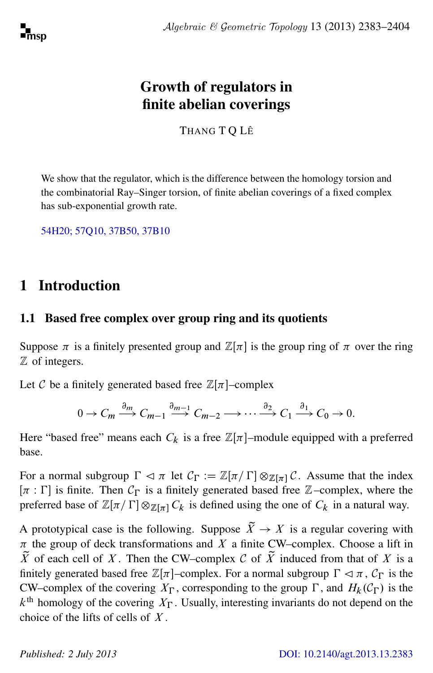# Growth of regulators in finite abelian coverings

THANG T Q LÊ

We show that the regulator, which is the difference between the homology torsion and the combinatorial Ray–Singer torsion, of finite abelian coverings of a fixed complex has sub-exponential growth rate.

[54H20; 57Q10, 37B50, 37B10](http://www.ams.org/mathscinet/search/mscdoc.html?code=54H20,(57Q10, 37B50, 37B10))

# 1 Introduction

# 1.1 Based free complex over group ring and its quotients

Suppose  $\pi$  is a finitely presented group and  $\mathbb{Z}[\pi]$  is the group ring of  $\pi$  over the ring Z of integers.

Let C be a finitely generated based free  $\mathbb{Z}[\pi]$ -complex

$$
0 \to C_m \xrightarrow{\partial_m} C_{m-1} \xrightarrow{\partial_{m-1}} C_{m-2} \longrightarrow \cdots \xrightarrow{\partial_2} C_1 \xrightarrow{\partial_1} C_0 \to 0.
$$

Here "based free" means each  $C_k$  is a free  $\mathbb{Z}[\pi]$ -module equipped with a preferred base.

For a normal subgroup  $\Gamma \lhd \pi$  let  $C_{\Gamma} := \mathbb{Z}[\pi/\Gamma] \otimes_{\mathbb{Z}[\pi]} C$ . Assume that the index  $[\pi : \Gamma]$  is finite. Then  $\mathcal{C}_{\Gamma}$  is a finitely generated based free Z–complex, where the preferred base of  $\mathbb{Z}[\pi/\Gamma] \otimes_{\mathbb{Z}[\pi]} C_k$  is defined using the one of  $C_k$  in a natural way.

A prototypical case is the following. Suppose  $\tilde{X} \to X$  is a regular covering with  $\pi$  the group of deck transformations and X a finite CW–complex. Choose a lift in  $\tilde{X}$  of each cell of X. Then the CW–complex C of  $\tilde{X}$  induced from that of X is a finitely generated based free  $\mathbb{Z}[\pi]$ –complex. For a normal subgroup  $\Gamma \lhd \pi$ ,  $\mathcal{C}_{\Gamma}$  is the CW–complex of the covering  $X_{\Gamma}$ , corresponding to the group  $\Gamma$ , and  $H_k(\mathcal{C}_{\Gamma})$  is the  $k<sup>th</sup>$  homology of the covering  $X_{\Gamma}$ . Usually, interesting invariants do not depend on the choice of the lifts of cells of  $X$ .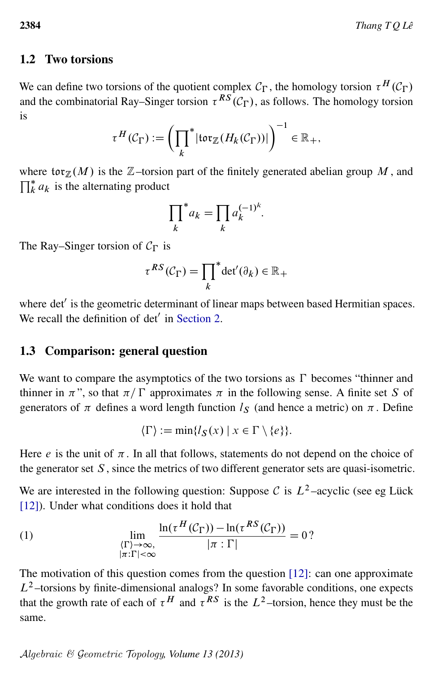# 1.2 Two torsions

We can define two torsions of the quotient complex  $C_{\Gamma}$ , the homology torsion  $\tau^H(C_{\Gamma})$ and the combinatorial Ray–Singer torsion  $\tau^{RS}(\mathcal{C}_{\Gamma})$ , as follows. The homology torsion is

$$
\tau^H(\mathcal{C}_{\Gamma}) := \left(\prod_k^* |\text{tor}_{\mathbb{Z}}(H_k(\mathcal{C}_{\Gamma}))|\right)^{-1} \in \mathbb{R}_+,
$$

where  $\text{tor}_{\mathbb{Z}}(M)$  is the  $\mathbb{Z}$ -torsion part of the finitely generated abelian group M, and  $\prod_{k=1}^{k} a_k$  is the alternating product

$$
\prod_k^* a_k = \prod_k a_k^{(-1)^k}.
$$

The Ray–Singer torsion of  $C_{\Gamma}$  is

$$
\tau^{RS}(\mathcal{C}_{\Gamma}) = \prod_{k}^* \det'(\partial_k) \in \mathbb{R}_+
$$

where det' is the geometric determinant of linear maps between based Hermitian spaces. We recall the definition of  $det'$  in [Section 2.](#page-4-0)

### 1.3 Comparison: general question

We want to compare the asymptotics of the two torsions as  $\Gamma$  becomes "thinner and thinner in  $\pi$ ", so that  $\pi / \Gamma$  approximates  $\pi$  in the following sense. A finite set S of generators of  $\pi$  defines a word length function  $l_s$  (and hence a metric) on  $\pi$ . Define

<span id="page-1-0"></span>
$$
\langle \Gamma \rangle := \min \{ l_{\mathcal{S}}(x) \mid x \in \Gamma \setminus \{e\} \}.
$$

Here  $e$  is the unit of  $\pi$ . In all that follows, statements do not depend on the choice of the generator set  $S$ , since the metrics of two different generator sets are quasi-isometric.

We are interested in the following question: Suppose C is  $L^2$ -acyclic (see eg Lück [\[12\]](#page-20-0)). Under what conditions does it hold that

(1) 
$$
\lim_{\begin{array}{c}\langle\Gamma\rangle\to\infty,\\|\pi:\Gamma|<\infty\end{array}}\frac{\ln(\tau^H(\mathcal{C}_{\Gamma}))-\ln(\tau^{RS}(\mathcal{C}_{\Gamma}))}{|\pi:\Gamma|}=0?
$$

The motivation of this question comes from the question [\[12\]](#page-20-0): can one approximate  $L^2$ -torsions by finite-dimensional analogs? In some favorable conditions, one expects that the growth rate of each of  $\tau^H$  and  $\tau^{RS}$  is the  $L^2$ -torsion, hence they must be the same.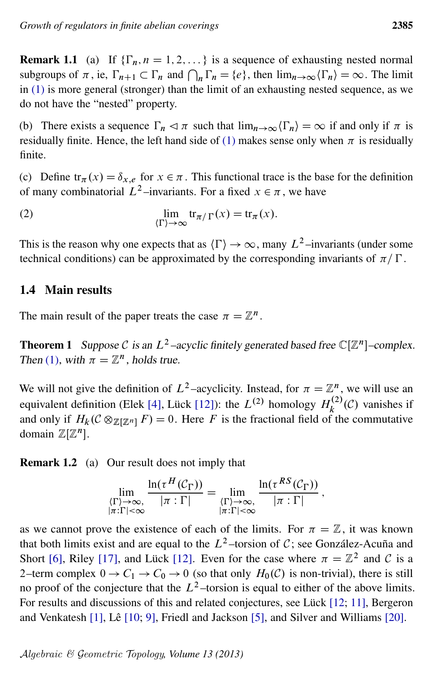**Remark 1.1** (a) If  $\{\Gamma_n, n = 1, 2, ...\}$  is a sequence of exhausting nested normal subgroups of  $\pi$ , ie,  $\Gamma_{n+1} \subset \Gamma_n$  and  $\bigcap_n \Gamma_n = \{e\}$ , then  $\lim_{n \to \infty} \langle \Gamma_n \rangle = \infty$ . The limit in [\(1\)](#page-1-0) is more general (stronger) than the limit of an exhausting nested sequence, as we do not have the "nested" property.

(b) There exists a sequence  $\Gamma_n \lhd \pi$  such that  $\lim_{n\to\infty} \langle \Gamma_n \rangle = \infty$  if and only if  $\pi$  is residually finite. Hence, the left hand side of [\(1\)](#page-1-0) makes sense only when  $\pi$  is residually finite.

(c) Define  $tr_{\pi}(x) = \delta_{x,e}$  for  $x \in \pi$ . This functional trace is the base for the definition of many combinatorial  $L^2$ -invariants. For a fixed  $x \in \pi$ , we have

(2) 
$$
\lim_{\Gamma \to \infty} \text{tr}_{\pi/\Gamma}(x) = \text{tr}_{\pi}(x).
$$

This is the reason why one expects that as  $\langle \Gamma \rangle \rightarrow \infty$ , many  $L^2$ –invariants (under some technical conditions) can be approximated by the corresponding invariants of  $\pi / \Gamma$ .

# 1.4 Main results

<span id="page-2-0"></span>The main result of the paper treats the case  $\pi = \mathbb{Z}^n$ .

**Theorem 1** Suppose C is an  $L^2$ -acyclic finitely generated based free  $\mathbb{C}[\mathbb{Z}^n]$ -complex. Then [\(1\)](#page-1-0), with  $\pi = \mathbb{Z}^n$ , holds true.

We will not give the definition of  $L^2$ -acyclicity. Instead, for  $\pi = \mathbb{Z}^n$ , we will use an equivalent definition (Elek [\[4\]](#page-20-1), Lück [\[12\]](#page-20-0)): the  $L^{(2)}$  homology  $H_k^{(2)}$  $k^{(2)}(\mathcal{C})$  vanishes if and only if  $H_k(\mathcal{C} \otimes_{\mathbb{Z}[\mathbb{Z}^n]} F) = 0$ . Here F is the fractional field of the commutative domain  $\mathbb{Z}[\mathbb{Z}^n]$ .

Remark 1.2 (a) Our result does not imply that

$$
\lim_{\substack{\langle \Gamma \rangle \to \infty, \\ |\pi : \Gamma| < \infty}} \frac{\ln(\tau^H(\mathcal{C}_{\Gamma}))}{|\pi : \Gamma|} = \lim_{\substack{\langle \Gamma \rangle \to \infty, \\ |\pi : \Gamma| < \infty}} \frac{\ln(\tau^{RS}(\mathcal{C}_{\Gamma}))}{|\pi : \Gamma|},
$$

as we cannot prove the existence of each of the limits. For  $\pi = \mathbb{Z}$ , it was known that both limits exist and are equal to the  $L^2$ -torsion of C; see González-Acuña and Short [\[6\]](#page-20-2), Riley [\[17\]](#page-20-3), and Lück [\[12\]](#page-20-0). Even for the case where  $\pi = \mathbb{Z}^2$  and C is a 2–term complex  $0 \to C_1 \to C_0 \to 0$  (so that only  $H_0(\mathcal{C})$  is non-trivial), there is still no proof of the conjecture that the  $L^2$ -torsion is equal to either of the above limits. For results and discussions of this and related conjectures, see Lück [\[12;](#page-20-0) [11\]](#page-20-4), Bergeron and Venkatesh [\[1\]](#page-19-0), Lê [\[10;](#page-20-5) [9\]](#page-20-6), Friedl and Jackson [\[5\]](#page-20-7), and Silver and Williams [\[20\]](#page-20-8).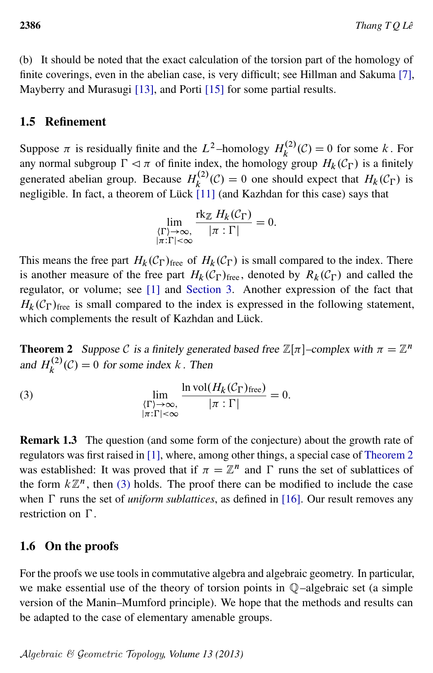(b) It should be noted that the exact calculation of the torsion part of the homology of finite coverings, even in the abelian case, is very difficult; see Hillman and Sakuma [\[7\]](#page-20-9), Mayberry and Murasugi [\[13\]](#page-20-10), and Porti [\[15\]](#page-20-11) for some partial results.

# 1.5 Refinement

Suppose  $\pi$  is residually finite and the  $L^2$ -homology  $H_k^{(2)}$  $k_k^{(2)}(\mathcal{C}) = 0$  for some k. For any normal subgroup  $\Gamma \lhd \pi$  of finite index, the homology group  $H_k(\mathcal{C}_{\Gamma})$  is a finitely generated abelian group. Because  $H_k^{(2)}$  $k^{(2)}(\mathcal{C}) = 0$  one should expect that  $H_k(\mathcal{C}_{\Gamma})$  is negligible. In fact, a theorem of Lück [\[11\]](#page-20-4) (and Kazhdan for this case) says that

<span id="page-3-1"></span>
$$
\lim_{\substack{\langle \Gamma \rangle \to \infty, \\ |\pi : \Gamma| < \infty}} \frac{\text{rk}_{\mathbb{Z}} H_k(\mathcal{C}_{\Gamma})}{|\pi : \Gamma|} = 0.
$$

This means the free part  $H_k(\mathcal{C}_{\Gamma})$ <sub>free</sub> of  $H_k(\mathcal{C}_{\Gamma})$  is small compared to the index. There is another measure of the free part  $H_k(\mathcal{C}_\Gamma)_{\text{free}}$ , denoted by  $R_k(\mathcal{C}_\Gamma)$  and called the regulator, or volume; see [\[1\]](#page-19-0) and [Section 3.](#page-5-0) Another expression of the fact that  $H_k(\mathcal{C}_{\Gamma})_{\text{free}}$  is small compared to the index is expressed in the following statement, which complements the result of Kazhdan and Lück.

<span id="page-3-0"></span>**Theorem 2** Suppose C is a finitely generated based free  $\mathbb{Z}[\pi]$ -complex with  $\pi = \mathbb{Z}^n$ and  $H_k^{(2)}$  $k_k^{(2)}(\mathcal{C}) = 0$  for some index k. Then

(3) 
$$
\lim_{\begin{array}{c}\langle\Gamma\rangle\to\infty,\\|\pi:\Gamma|<\infty\end{array}}\frac{\ln \mathrm{vol}(H_k(\mathcal{C}_{\Gamma})_{\mathrm{free}})}{|\pi:\Gamma|}=0.
$$

Remark 1.3 The question (and some form of the conjecture) about the growth rate of regulators was first raised in [\[1\]](#page-19-0), where, among other things, a special case of [Theorem 2](#page-3-0) was established: It was proved that if  $\pi = \mathbb{Z}^n$  and  $\Gamma$  runs the set of sublattices of the form  $k\mathbb{Z}^n$ , then [\(3\)](#page-3-1) holds. The proof there can be modified to include the case when  $\Gamma$  runs the set of *uniform sublattices*, as defined in [\[16\]](#page-20-12). Our result removes any restriction on  $\Gamma$ .

# 1.6 On the proofs

For the proofs we use tools in commutative algebra and algebraic geometry. In particular, we make essential use of the theory of torsion points in Q–algebraic set (a simple version of the Manin–Mumford principle). We hope that the methods and results can be adapted to the case of elementary amenable groups.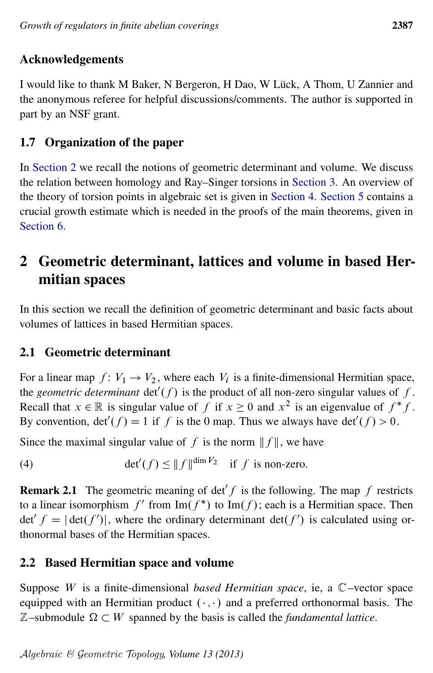# Acknowledgements

I would like to thank M Baker, N Bergeron, H Dao, W Lück, A Thom, U Zannier and the anonymous referee for helpful discussions/comments. The author is supported in part by an NSF grant.

# 1.7 Organization of the paper

In [Section 2](#page-4-0) we recall the notions of geometric determinant and volume. We discuss the relation between homology and Ray–Singer torsions in [Section 3.](#page-5-0) An overview of the theory of torsion points in algebraic set is given in [Section 4.](#page-7-0) [Section 5](#page-11-0) contains a crucial growth estimate which is needed in the proofs of the main theorems, given in [Section 6.](#page-16-0)

# <span id="page-4-0"></span>2 Geometric determinant, lattices and volume in based Hermitian spaces

In this section we recall the definition of geometric determinant and basic facts about volumes of lattices in based Hermitian spaces.

# 2.1 Geometric determinant

For a linear map  $f: V_1 \to V_2$ , where each  $V_i$  is a finite-dimensional Hermitian space, the *geometric determinant*  $\det'(f)$  is the product of all non-zero singular values of f. Recall that  $x \in \mathbb{R}$  is singular value of f if  $x \ge 0$  and  $x^2$  is an eigenvalue of  $f^*f$ . By convention,  $det'(f) = 1$  if f is the 0 map. Thus we always have  $det'(f) > 0$ .

<span id="page-4-1"></span>Since the maximal singular value of f is the norm  $|| f ||$ , we have

(4) 
$$
\det'(f) \le ||f||^{\dim V_2} \text{ if } f \text{ is non-zero.}
$$

**Remark 2.1** The geometric meaning of det f is the following. The map f restricts to a linear isomorphism  $f'$  from  $\text{Im}(f^*)$  to  $\text{Im}(f)$ ; each is a Hermitian space. Then det'  $f = |\det(f')|$ , where the ordinary determinant  $\det(f')$  is calculated using orthonormal bases of the Hermitian spaces.

# 2.2 Based Hermitian space and volume

Suppose W is a finite-dimensional *based Hermitian space*, ie, a C–vector space equipped with an Hermitian product  $(\cdot, \cdot)$  and a preferred orthonormal basis. The  $\mathbb{Z}-$ submodule  $\Omega \subset W$  spanned by the basis is called the *fundamental lattice*.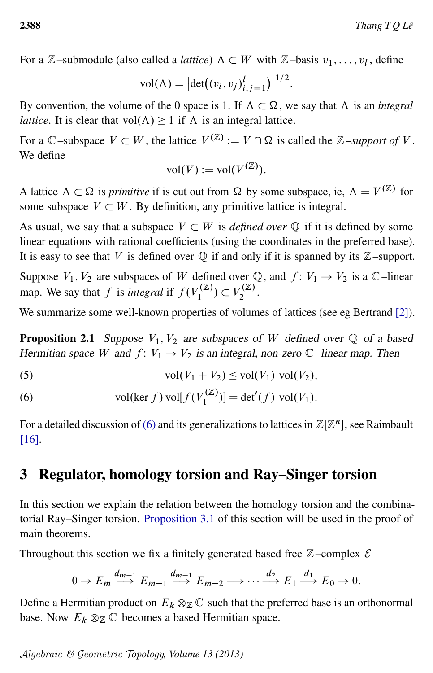For a  $\mathbb{Z}$ -submodule (also called a *lattice*)  $\Lambda \subset W$  with  $\mathbb{Z}$ -basis  $v_1, \ldots, v_l$ , define

$$
vol(\Lambda) = |det((v_i, v_j)_{i,j=1}^l)|^{1/2}.
$$

By convention, the volume of the 0 space is 1. If  $\Lambda \subset \Omega$ , we say that  $\Lambda$  is an *integral lattice*. It is clear that vol $(\Lambda) \geq 1$  if  $\Lambda$  is an integral lattice.

For a  $\mathbb{C}$ –subspace  $V \subset W$ , the lattice  $V^{(\mathbb{Z})} := V \cap \Omega$  is called the  $\mathbb{Z}$ –support of V. We define

$$
\text{vol}(V) := \text{vol}(V^{(\mathbb{Z})}).
$$

A lattice  $\Lambda \subset \Omega$  is *primitive* if is cut out from  $\Omega$  by some subspace, ie,  $\Lambda = V^{(\mathbb{Z})}$  for some subspace  $V \subset W$ . By definition, any primitive lattice is integral.

As usual, we say that a subspace  $V \subset W$  is *defined over*  $\mathbb Q$  if it is defined by some linear equations with rational coefficients (using the coordinates in the preferred base). It is easy to see that V is defined over  $\mathbb Q$  if and only if it is spanned by its  $\mathbb Z$ –support.

Suppose  $V_1$ ,  $V_2$  are subspaces of W defined over Q, and  $f: V_1 \rightarrow V_2$  is a C–linear map. We say that f is *integral* if  $f(V_1^{(\mathbb{Z})})$  $Y_1^{(\mathbb{Z})}) \subset V_2^{(\mathbb{Z})}$  $\frac{1}{2}$ .

We summarize some well-known properties of volumes of lattices (see eg Bertrand [\[2\]](#page-19-1)).

**Proposition 2.1** Suppose  $V_1$ ,  $V_2$  are subspaces of W defined over  $\mathbb Q$  of a based Hermitian space W and  $f: V_1 \to V_2$  is an integral, non-zero  $\mathbb C$ –linear map. Then

<span id="page-5-2"></span>(5) 
$$
vol(V_1 + V_2) \leq vol(V_1) vol(V_2),
$$

<span id="page-5-1"></span>(6) 
$$
\text{vol}(\ker f) \text{ vol}[f(V_1^{(\mathbb{Z})})] = \det'(f) \text{ vol}(V_1).
$$

For a detailed discussion of [\(6\)](#page-5-1) and its generalizations to lattices in  $\mathbb{Z}[\mathbb{Z}^n]$ , see Raimbault [\[16\]](#page-20-12).

# <span id="page-5-0"></span>3 Regulator, homology torsion and Ray–Singer torsion

In this section we explain the relation between the homology torsion and the combinatorial Ray–Singer torsion. [Proposition 3.1](#page-7-1) of this section will be used in the proof of main theorems.

Throughout this section we fix a finitely generated based free  $\mathbb{Z}$ –complex  $\mathcal E$ 

$$
0 \to E_m \xrightarrow{d_{m-1}} E_{m-1} \xrightarrow{d_{m-1}} E_{m-2} \longrightarrow \cdots \xrightarrow{d_2} E_1 \xrightarrow{d_1} E_0 \to 0.
$$

Define a Hermitian product on  $E_k \otimes_{\mathbb{Z}} \mathbb{C}$  such that the preferred base is an orthonormal base. Now  $E_k \otimes_{\mathbb{Z}} \mathbb{C}$  becomes a based Hermitian space.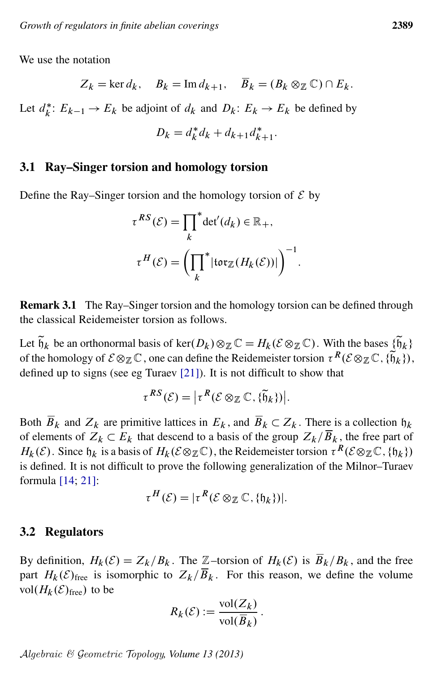We use the notation

$$
Z_k = \ker d_k
$$
,  $B_k = \text{Im } d_{k+1}$ ,  $\overline{B}_k = (B_k \otimes_{\mathbb{Z}} \mathbb{C}) \cap E_k$ .

Let  $d_k^*$  $k^*$ :  $E_{k-1} \to E_k$  be adjoint of  $d_k$  and  $D_k$ :  $E_k \to E_k$  be defined by

$$
D_k = d_k^* d_k + d_{k+1} d_{k+1}^*.
$$

#### 3.1 Ray–Singer torsion and homology torsion

Define the Ray–Singer torsion and the homology torsion of  $\mathcal E$  by

$$
\tau^{RS}(\mathcal{E}) = \prod_{k}^{*} \det'(d_k) \in \mathbb{R}_{+},
$$

$$
\tau^{H}(\mathcal{E}) = \left(\prod_{k}^{*} |\text{tor}_{\mathbb{Z}}(H_k(\mathcal{E}))|\right)^{-1}
$$

:

Remark 3.1 The Ray–Singer torsion and the homology torsion can be defined through the classical Reidemeister torsion as follows.

Let  $\tilde{h}_k$  be an orthonormal basis of ker $(D_k) \otimes_{\mathbb{Z}} \mathbb{C} = H_k(\mathcal{E} \otimes_{\mathbb{Z}} \mathbb{C})$ . With the bases  $\{\tilde{h}_k\}$ of the homology of  $\mathcal{E} \otimes_{\mathbb{Z}} \mathbb{C}$ , one can define the Reidemeister torsion  $\tau^R(\mathcal{E} \otimes_{\mathbb{Z}} \mathbb{C}, \{\widetilde{\mathfrak{h}}_k\})$ , defined up to signs (see eg Turaev [\[21\]](#page-21-0)). It is not difficult to show that

$$
\tau^{RS}(\mathcal{E}) = \left| \tau^R(\mathcal{E} \otimes_{\mathbb{Z}} \mathbb{C}, \{\widetilde{\mathfrak{h}}_k\}) \right|.
$$

Both  $\overline{B}_k$  and  $Z_k$  are primitive lattices in  $E_k$ , and  $\overline{B}_k \subset Z_k$ . There is a collection  $\mathfrak{h}_k$ of elements of  $Z_k \subset E_k$  that descend to a basis of the group  $Z_k/\overline{B}_k$ , the free part of  $H_k(\mathcal{E})$ . Since  $\mathfrak{h}_k$  is a basis of  $H_k(\mathcal{E} \otimes_{\mathbb{Z}} \mathbb{C})$ , the Reidemeister torsion  $\tau^R(\mathcal{E} \otimes_{\mathbb{Z}} \mathbb{C}, \{\mathfrak{h}_k\})$ is defined. It is not difficult to prove the following generalization of the Milnor–Turaev formula [\[14;](#page-20-13) [21\]](#page-21-0):

$$
\tau^H(\mathcal{E}) = |\tau^R(\mathcal{E} \otimes_{\mathbb{Z}} \mathbb{C}, \{\mathfrak{h}_k\})|.
$$

#### 3.2 Regulators

By definition,  $H_k(\mathcal{E})=Z_k/B_k$ . The Z–torsion of  $H_k(\mathcal{E})$  is  $\overline{B}_k/B_k$ , and the free part  $H_k(\mathcal{E})_{\text{free}}$  is isomorphic to  $Z_k/\overline{B}_k$ . For this reason, we define the volume vol $(H_k(\mathcal{E})_{\text{free}})$  to be

$$
R_k(\mathcal{E}) := \frac{\text{vol}(Z_k)}{\text{vol}(\overline{B}_k)}.
$$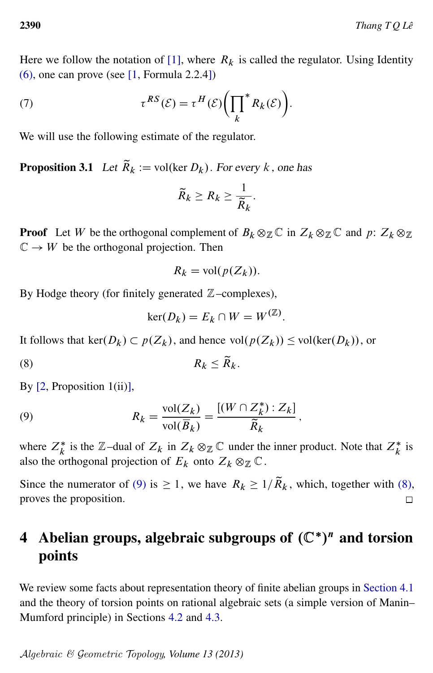Here we follow the notation of [\[1\]](#page-19-0), where  $R_k$  is called the regulator. Using Identity  $(6)$ , one can prove (see [\[1,](#page-19-0) Formula 2.2.4])

(7) 
$$
\tau^{RS}(\mathcal{E}) = \tau^H(\mathcal{E}) \bigg( \prod_k^* R_k(\mathcal{E}) \bigg).
$$

<span id="page-7-1"></span>We will use the following estimate of the regulator.

**Proposition 3.1** Let  $\widetilde{R}_k := \text{vol}(\ker D_k)$ . For every k, one has

<span id="page-7-4"></span>
$$
\widetilde{R}_k \geq R_k \geq \frac{1}{\widetilde{R}_k}.
$$

**Proof** Let W be the orthogonal complement of  $B_k \otimes_{\mathbb{Z}} \mathbb{C}$  in  $Z_k \otimes_{\mathbb{Z}} \mathbb{C}$  and  $p: Z_k \otimes_{\mathbb{Z}} \mathbb{C}$  $\mathbb{C} \to W$  be the orthogonal projection. Then

<span id="page-7-3"></span>
$$
R_k = \text{vol}(p(Z_k)).
$$

By Hodge theory (for finitely generated  $\mathbb{Z}$ –complexes),

<span id="page-7-2"></span>
$$
\ker(D_k) = E_k \cap W = W^{(\mathbb{Z})}.
$$

It follows that ker( $D_k$ )  $\subset p(Z_k)$ , and hence vol $(p(Z_k)) \le$  vol(ker( $D_k$ )), or

$$
(8) \t\t R_k \le \widetilde{R}_k.
$$

By  $[2,$  Proposition 1(ii)],

(9) 
$$
R_k = \frac{\text{vol}(Z_k)}{\text{vol}(\overline{B}_k)} = \frac{[(W \cap Z_k^*) : Z_k]}{\widetilde{R}_k},
$$

where  $Z_k^*$  is the  $\mathbb{Z}-$ dual of  $Z_k$  in  $Z_k \otimes_{\mathbb{Z}} \mathbb{C}$  under the inner product. Note that  $Z_k^*$  is also the orthogonal projection of  $E_k$  onto  $Z_k \otimes_{\mathbb{Z}} \mathbb{C}$ .

Since the numerator of [\(9\)](#page-7-2) is  $\geq 1$ , we have  $R_k \geq 1/\widetilde{R}_k$ , which, together with [\(8\),](#page-7-3) proves the proposition.  $\Box$ 

# <span id="page-7-0"></span>4 Abelian groups, algebraic subgroups of  $(\mathbb{C}^*)^n$  and torsion points

We review some facts about representation theory of finite abelian groups in [Section 4.1](#page-8-0) and the theory of torsion points on rational algebraic sets (a simple version of Manin– Mumford principle) in Sections [4.2](#page-8-1) and [4.3.](#page-9-0)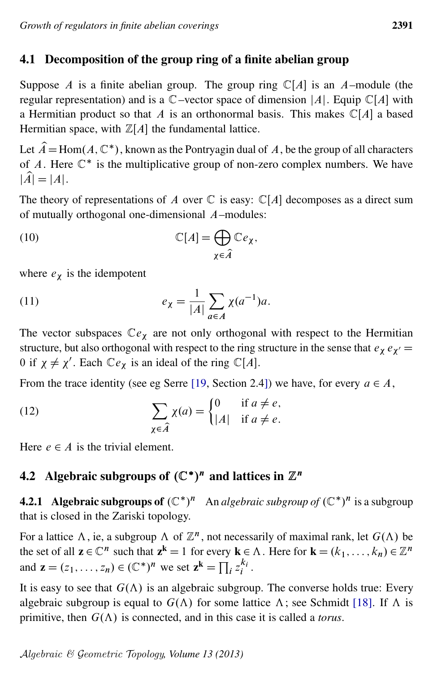# <span id="page-8-0"></span>4.1 Decomposition of the group ring of a finite abelian group

Suppose A is a finite abelian group. The group ring  $\mathbb{C}[A]$  is an A–module (the regular representation) and is a  $\mathbb{C}$ -vector space of dimension |A|. Equip  $\mathbb{C}[A]$  with a Hermitian product so that A is an orthonormal basis. This makes  $\mathbb{C}[A]$  a based Hermitian space, with  $\mathbb{Z}[A]$  the fundamental lattice.

Let  $\hat{A} = \text{Hom}(A, \mathbb{C}^*)$ , known as the Pontryagin dual of A, be the group of all characters of A. Here  $\mathbb{C}^*$  is the multiplicative group of non-zero complex numbers. We have  $|\widehat{A}| = |A|.$ 

The theory of representations of A over  $\mathbb C$  is easy:  $\mathbb C[A]$  decomposes as a direct sum of mutually orthogonal one-dimensional A–modules:

<span id="page-8-2"></span>(10) 
$$
\mathbb{C}[A] = \bigoplus_{\chi \in \hat{A}} \mathbb{C}e_{\chi},
$$

<span id="page-8-4"></span>where  $e_{\chi}$  is the idempotent

(11) 
$$
e_{\chi} = \frac{1}{|A|} \sum_{a \in A} \chi(a^{-1}) a.
$$

The vector subspaces  $\mathbb{C}e_{\chi}$  are not only orthogonal with respect to the Hermitian structure, but also orthogonal with respect to the ring structure in the sense that  $e_{\chi} e_{\chi'} =$ 0 if  $\chi \neq \chi'$ . Each  $\mathbb{C}e_{\chi}$  is an ideal of the ring  $\mathbb{C}[A]$ .

<span id="page-8-3"></span>From the trace identity (see eg Serre [\[19,](#page-20-14) Section 2.4]) we have, for every  $a \in A$ ,

(12) 
$$
\sum_{\chi \in \widehat{A}} \chi(a) = \begin{cases} 0 & \text{if } a \neq e, \\ |A| & \text{if } a \neq e. \end{cases}
$$

Here  $e \in A$  is the trivial element.

# <span id="page-8-1"></span>4.2 Algebraic subgroups of  $(\mathbb{C}^*)^n$  and lattices in  $\mathbb{Z}^n$

**4.2.1** Algebraic subgroups of  $(\mathbb{C}^*)^n$  An *algebraic subgroup of*  $(\mathbb{C}^*)^n$  is a subgroup that is closed in the Zariski topology.

For a lattice  $\Lambda$ , ie, a subgroup  $\Lambda$  of  $\mathbb{Z}^n$ , not necessarily of maximal rank, let  $G(\Lambda)$  be the set of all  $z \in \mathbb{C}^n$  such that  $z^k = 1$  for every  $k \in \Lambda$ . Here for  $k = (k_1, \ldots, k_n) \in \mathbb{Z}^n$ and  $\mathbf{z} = (z_1, \dots, z_n) \in (\mathbb{C}^*)^n$  we set  $\mathbf{z}^k = \prod_i z_i^{k_i}$  $\frac{\kappa_i}{i}$  .

It is easy to see that  $G(\Lambda)$  is an algebraic subgroup. The converse holds true: Every algebraic subgroup is equal to  $G(\Lambda)$  for some lattice  $\Lambda$ ; see Schmidt [\[18\]](#page-20-15). If  $\Lambda$  is primitive, then  $G(\Lambda)$  is connected, and in this case it is called a *torus*.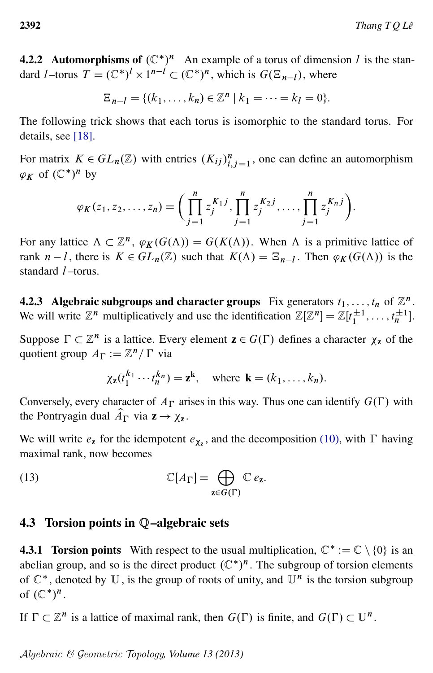<span id="page-9-1"></span>**4.2.2** Automorphisms of  $(\mathbb{C}^*)^n$  An example of a torus of dimension l is the standard *l* –torus  $T = (\mathbb{C}^*)^l \times 1^{n-l} \subset (\mathbb{C}^*)^n$ , which is  $G(\mathbb{E}_{n-l})$ , where

$$
\Xi_{n-l} = \{(k_1, \ldots, k_n) \in \mathbb{Z}^n \mid k_1 = \cdots = k_l = 0\}.
$$

The following trick shows that each torus is isomorphic to the standard torus. For details, see [\[18\]](#page-20-15).

For matrix  $K \in GL_n(\mathbb{Z})$  with entries  $(K_{ij})_{i,j=1}^n$ , one can define an automorphism  $\varphi_K$  of  $(\mathbb{C}^*)^n$  by

$$
\varphi_K(z_1, z_2, \ldots, z_n) = \bigg( \prod_{j=1}^n z_j^{K_1 j}, \prod_{j=1}^n z_j^{K_2 j}, \ldots, \prod_{j=1}^n z_j^{K_n j} \bigg).
$$

For any lattice  $\Lambda \subset \mathbb{Z}^n$ ,  $\varphi_K(G(\Lambda)) = G(K(\Lambda))$ . When  $\Lambda$  is a primitive lattice of rank  $n-l$ , there is  $K \in GL_n(\mathbb{Z})$  such that  $K(\Lambda) = \mathbb{E}_{n-l}$ . Then  $\varphi_K(G(\Lambda))$  is the standard  $l$  –torus.

**4.2.3** Algebraic subgroups and character groups Fix generators  $t_1, \ldots, t_n$  of  $\mathbb{Z}^n$ . We will write  $\mathbb{Z}^n$  multiplicatively and use the identification  $\mathbb{Z}[\mathbb{Z}^n] = \mathbb{Z}[t_1^{\pm 1}, \dots, t_n^{\pm 1}].$ 

Suppose  $\Gamma \subset \mathbb{Z}^n$  is a lattice. Every element  $\mathbf{z} \in G(\Gamma)$  defines a character  $\chi_{\mathbf{z}}$  of the quotient group  $A_{\Gamma} := \mathbb{Z}^n / \Gamma$  via

<span id="page-9-2"></span>
$$
\chi_{\mathbf{z}}(t_1^{k_1}\cdots t_n^{k_n}) = \mathbf{z}^{\mathbf{k}}, \text{ where } \mathbf{k} = (k_1,\ldots,k_n).
$$

Conversely, every character of  $A_{\Gamma}$  arises in this way. Thus one can identify  $G(\Gamma)$  with the Pontryagin dual  $\hat{A}_{\Gamma}$  via  $z \rightarrow \chi_z$ .

We will write  $e_{\mathbf{z}}$  for the idempotent  $e_{\mathbf{X}_{\mathbf{z}}}$ , and the decomposition [\(10\),](#page-8-2) with  $\Gamma$  having maximal rank, now becomes

(13) 
$$
\mathbb{C}[A_{\Gamma}] = \bigoplus_{\mathbf{z} \in G(\Gamma)} \mathbb{C} e_{\mathbf{z}}.
$$

#### <span id="page-9-0"></span>4.3 Torsion points in Q–algebraic sets

**4.3.1 Torsion points** With respect to the usual multiplication,  $\mathbb{C}^* := \mathbb{C} \setminus \{0\}$  is an abelian group, and so is the direct product  $(\mathbb{C}^*)^n$ . The subgroup of torsion elements of  $\mathbb{C}^*$ , denoted by  $\mathbb{U}$ , is the group of roots of unity, and  $\mathbb{U}^n$  is the torsion subgroup of  $(\mathbb{C}^*)^n$ .

If  $\Gamma \subset \mathbb{Z}^n$  is a lattice of maximal rank, then  $G(\Gamma)$  is finite, and  $G(\Gamma) \subset \mathbb{U}^n$ .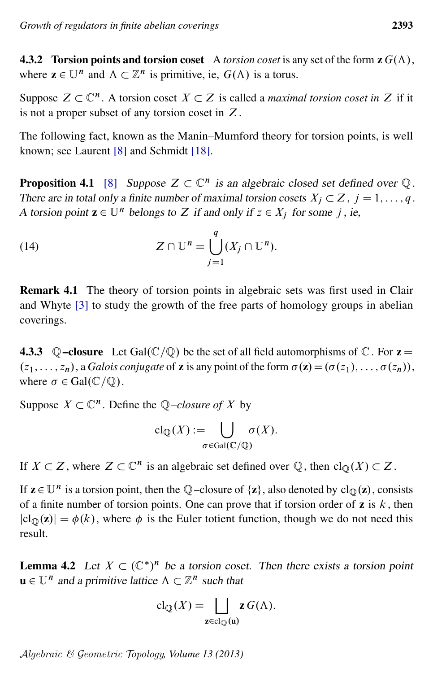**4.3.2 Torsion points and torsion coset** A *torsion coset* is any set of the form  $z G(\Lambda)$ , where  $\mathbf{z} \in \mathbb{U}^n$  and  $\Lambda \subset \mathbb{Z}^n$  is primitive, ie,  $G(\Lambda)$  is a torus.

Suppose  $Z \subset \mathbb{C}^n$ . A torsion coset  $X \subset Z$  is called a *maximal torsion coset in* Z if it is not a proper subset of any torsion coset in Z.

The following fact, known as the Manin–Mumford theory for torsion points, is well known; see Laurent [\[8\]](#page-20-16) and Schmidt [\[18\]](#page-20-15).

<span id="page-10-1"></span>**Proposition 4.1** [\[8\]](#page-20-16) Suppose  $Z \subset \mathbb{C}^n$  is an algebraic closed set defined over  $\mathbb{Q}$ . There are in total only a finite number of maximal torsion cosets  $X_i \subset Z$ ,  $j = 1, \ldots, q$ . A torsion point  $\mathbf{z} \in \mathbb{U}^n$  belongs to Z if and only if  $z \in X_i$  for some j, ie,

(14) 
$$
Z \cap \mathbb{U}^n = \bigcup_{j=1}^q (X_j \cap \mathbb{U}^n).
$$

Remark 4.1 The theory of torsion points in algebraic sets was first used in Clair and Whyte [\[3\]](#page-19-2) to study the growth of the free parts of homology groups in abelian coverings.

**4.3.3**  $\mathbb Q$ -closure Let Gal $(\mathbb C/\mathbb Q)$  be the set of all field automorphisms of  $\mathbb C$ . For  $z =$  $(z_1, \ldots, z_n)$ , a *Galois conjugate* of **z** is any point of the form  $\sigma(\mathbf{z}) = (\sigma(z_1), \ldots, \sigma(z_n))$ , where  $\sigma \in \text{Gal}(\mathbb{C}/\mathbb{Q})$ .

Suppose  $X \subset \mathbb{C}^n$ . Define the  $\mathbb{Q}-closure$  of X by

$$
cl_{\mathbb{Q}}(X) := \bigcup_{\sigma \in Gal(\mathbb{C}/\mathbb{Q})} \sigma(X).
$$

If  $X \subset Z$ , where  $Z \subset \mathbb{C}^n$  is an algebraic set defined over  $\mathbb{Q}$ , then  $\text{cl}_{\mathbb{Q}}(X) \subset Z$ .

If  $z \in \mathbb{U}^n$  is a torsion point, then the Q-closure of  $\{z\}$ , also denoted by  $cl_{\mathbb{Q}}(z)$ , consists of a finite number of torsion points. One can prove that if torsion order of  $\bf{z}$  is  $k$ , then  $|cl_{\mathbb{Q}}(z)| = \phi(k)$ , where  $\phi$  is the Euler totient function, though we do not need this result.

<span id="page-10-0"></span>**Lemma 4.2** Let  $X \subset (\mathbb{C}^*)^n$  be a torsion coset. Then there exists a torsion point  $\mathbf{u} \in \mathbb{U}^n$  and a primitive lattice  $\Lambda \subset \mathbb{Z}^n$  such that

$$
\mathrm{cl}_{\mathbb{Q}}(X) = \bigsqcup_{\mathbf{z} \in \mathrm{cl}_{\mathbb{Q}}(\mathbf{u})} \mathbf{z} \, G(\Lambda).
$$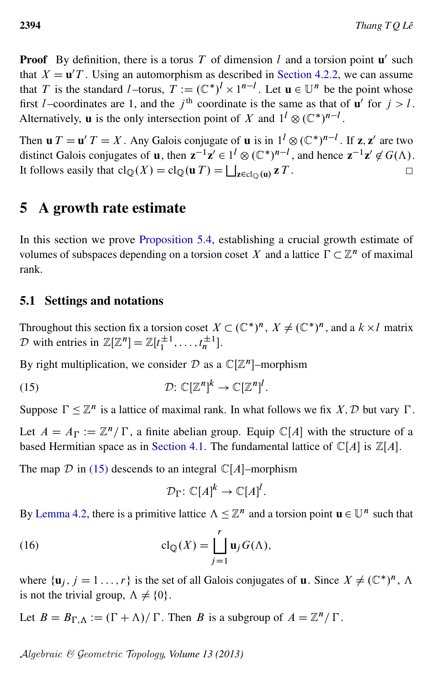**Proof** By definition, there is a torus T of dimension l and a torsion point  $\mathbf{u}'$  such that  $X = \mathbf{u}'T$ . Using an automorphism as described in [Section 4.2.2,](#page-9-1) we can assume that T is the standard l-torus,  $\hat{T} := (\mathbb{C}^*)^l \times 1^{n-l}$ . Let  $\mathbf{u} \in \mathbb{U}^n$  be the point whose first l–coordinates are 1, and the j<sup>th</sup> coordinate is the same as that of  $\mathbf{u}'$  for  $j > l$ . Alternatively, **u** is the only intersection point of X and  $1^l \otimes (\mathbb{C}^*)^{n-l}$ .

Then  $\mathbf{u} T = \mathbf{u}' T = X$ . Any Galois conjugate of  $\mathbf{u}$  is in  $1^l \otimes (\mathbb{C}^*)^{n-l}$ . If  $\mathbf{z}, \mathbf{z}'$  are two distinct Galois conjugates of **u**, then  $z^{-1}z' \in l^l \otimes (\mathbb{C}^*)^{n-l}$ , and hence  $z^{-1}z' \notin G(\Lambda)$ . It follows easily that  $\text{cl}_{\mathbb{Q}}(X) = \text{cl}_{\mathbb{Q}}(\mathbf{u} | T) = \bigsqcup_{\mathbf{z} \in \text{cl}_{\mathbb{Q}}(\mathbf{u})} \mathbf{z} | T$ .

# <span id="page-11-0"></span>5 A growth rate estimate

In this section we prove [Proposition 5.4,](#page-16-1) establishing a crucial growth estimate of volumes of subspaces depending on a torsion coset X and a lattice  $\Gamma \subset \mathbb{Z}^n$  of maximal rank.

# 5.1 Settings and notations

Throughout this section fix a torsion coset  $X \subset (\mathbb{C}^*)^n$ ,  $X \neq (\mathbb{C}^*)^n$ , and a  $k \times l$  matrix D with entries in  $\mathbb{Z}[\mathbb{Z}^n] = \mathbb{Z}[t_1^{\pm 1}, \dots, t_n^{\pm 1}].$ 

By right multiplication, we consider  $D$  as a  $\mathbb{C}[\mathbb{Z}^n]$ -morphism

(15) 
$$
\mathcal{D}: \mathbb{C}[\mathbb{Z}^n]^k \to \mathbb{C}[\mathbb{Z}^n]^l.
$$

Suppose  $\Gamma \leq \mathbb{Z}^n$  is a lattice of maximal rank. In what follows we fix X, D but vary  $\Gamma$ .

Let  $A = A_{\Gamma} := \mathbb{Z}^n / \Gamma$ , a finite abelian group. Equip  $\mathbb{C}[A]$  with the structure of a based Hermitian space as in [Section 4.1.](#page-8-0) The fundamental lattice of  $\mathbb{C}[A]$  is  $\mathbb{Z}[A]$ .

The map  $D$  in [\(15\)](#page-11-1) descends to an integral  $\mathbb{C}[A]$ –morphism

<span id="page-11-2"></span><span id="page-11-1"></span>
$$
\mathcal{D}_{\Gamma} \colon \mathbb{C}[A]^k \to \mathbb{C}[A]^l.
$$

By [Lemma 4.2,](#page-10-0) there is a primitive lattice  $\Lambda \leq \mathbb{Z}^n$  and a torsion point  $\mathbf{u} \in \mathbb{U}^n$  such that

(16) 
$$
\operatorname{cl}_{\mathbb{Q}}(X) = \coprod_{j=1}^{r} \mathbf{u}_{j} G(\Lambda),
$$

where  $\{\mathbf u_j, j = 1, \ldots, r\}$  is the set of all Galois conjugates of **u**. Since  $X \neq (\mathbb{C}^*)^n$ ,  $\Lambda$ is not the trivial group,  $\Lambda \neq \{0\}$ .

Let  $B = B_{\Gamma,\Lambda} := (\Gamma + \Lambda)/\Gamma$ . Then B is a subgroup of  $A = \mathbb{Z}^n/\Gamma$ .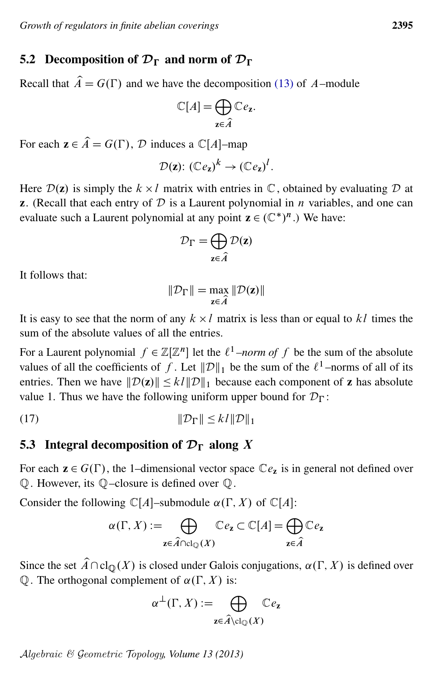#### 5.2 Decomposition of  $\mathcal{D}_{\Gamma}$  and norm of  $\mathcal{D}_{\Gamma}$

Recall that  $\hat{A} = G(\Gamma)$  and we have the decomposition [\(13\)](#page-9-2) of A–module

$$
\mathbb{C}[A] = \bigoplus_{\mathbf{z} \in \widehat{A}} \mathbb{C}e_{\mathbf{z}}.
$$

For each  $z \in \hat{A} = G(\Gamma)$ , D induces a  $\mathbb{C}[A]$ -map

$$
\mathcal{D}(\mathbf{z})\colon (\mathbb{C}e_{\mathbf{z}})^k \to (\mathbb{C}e_{\mathbf{z}})^l.
$$

Here  $\mathcal{D}(z)$  is simply the  $k \times l$  matrix with entries in  $\mathbb{C}$ , obtained by evaluating  $\mathcal D$  at **z**. (Recall that each entry of  $D$  is a Laurent polynomial in *n* variables, and one can evaluate such a Laurent polynomial at any point  $z \in (\mathbb{C}^*)^n$ .) We have:

$$
\mathcal{D}_{\Gamma} = \bigoplus_{\mathbf{z} \in \widehat{A}} \mathcal{D}(\mathbf{z})
$$

It follows that:

<span id="page-12-0"></span>
$$
\|\mathcal{D}_{\Gamma}\| = \max_{\mathbf{z} \in \widehat{A}} \|\mathcal{D}(\mathbf{z})\|
$$

It is easy to see that the norm of any  $k \times l$  matrix is less than or equal to kl times the sum of the absolute values of all the entries.

For a Laurent polynomial  $f \in \mathbb{Z}[\mathbb{Z}^n]$  let the  $\ell^1$ *–norm of* f be the sum of the absolute values of all the coefficients of f. Let  $\|\mathcal{D}\|_1$  be the sum of the  $\ell^1$ -norms of all of its entries. Then we have  $\|\mathcal{D}(\mathbf{z})\| \le k\|\mathcal{D}\|_1$  because each component of **z** has absolute value 1. Thus we have the following uniform upper bound for  $\mathcal{D}_{\Gamma}$ :

$$
||\mathcal{D}_{\Gamma}|| \le kl ||\mathcal{D}||_1
$$

# <span id="page-12-1"></span>5.3 Integral decomposition of  $\mathcal{D}_{\Gamma}$  along X

For each  $z \in G(\Gamma)$ , the 1–dimensional vector space  $\mathbb{C}e_z$  is in general not defined over Q. However, its Q–closure is defined over Q.

Consider the following  $\mathbb{C}[A]$ –submodule  $\alpha(\Gamma, X)$  of  $\mathbb{C}[A]$ :

$$
\alpha(\Gamma, X) := \bigoplus_{\mathbf{z} \in \widehat{A} \cap \text{cl}_{\mathbb{Q}}(X)} \mathbb{C}e_{\mathbf{z}} \subset \mathbb{C}[A] = \bigoplus_{\mathbf{z} \in \widehat{A}} \mathbb{C}e_{\mathbf{z}}
$$

Since the set  $\hat{A} \cap \text{cl}_{\mathbb{Q}}(X)$  is closed under Galois conjugations,  $\alpha(\Gamma, X)$  is defined over  $\mathbb Q$ . The orthogonal complement of  $\alpha(\Gamma, X)$  is:

$$
\alpha^{\perp}(\Gamma, X) := \bigoplus_{\mathbf{z} \in \widehat{A} \setminus \mathrm{cl}_{\mathbb{Q}}(X)} \mathbb{C}e_{\mathbf{z}}
$$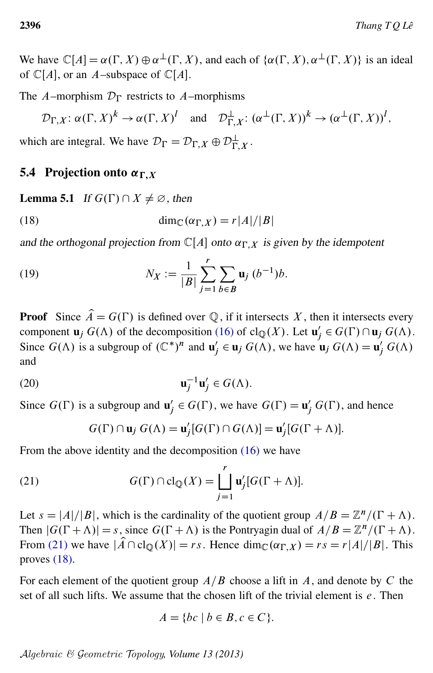We have  $\mathbb{C}[A] = \alpha(\Gamma, X) \oplus \alpha^{\perp}(\Gamma, X)$ , and each of  $\{\alpha(\Gamma, X), \alpha^{\perp}(\Gamma, X)\}\)$  is an ideal of  $\mathbb{C}[A]$ , or an A–subspace of  $\mathbb{C}[A]$ .

The A–morphism  $\mathcal{D}_{\Gamma}$  restricts to A–morphisms

<span id="page-13-1"></span>
$$
\mathcal{D}_{\Gamma,X}
$$
:  $\alpha(\Gamma,X)^k \to \alpha(\Gamma,X)^l$  and  $\mathcal{D}_{\Gamma,X}^{\perp}$ :  $(\alpha^{\perp}(\Gamma,X))^k \to (\alpha^{\perp}(\Gamma,X))^l$ ,

which are integral. We have  $\mathcal{D}_{\Gamma} = \mathcal{D}_{\Gamma,X} \oplus \mathcal{D}_{\Gamma,X}^{\perp}$ .

# 5.4 Projection onto  $\alpha_{\Gamma,X}$

<span id="page-13-4"></span>**Lemma 5.1** If  $G(\Gamma) \cap X \neq \emptyset$ , then

(18) 
$$
\dim_{\mathbb{C}}(\alpha_{\Gamma,X}) = r|A|/|B|
$$

and the orthogonal projection from  $\mathbb{C}[A]$  onto  $\alpha_{\Gamma,X}$  is given by the idempotent

(19) 
$$
N_X := \frac{1}{|B|} \sum_{j=1}^r \sum_{b \in B} \mathbf{u}_j \, (b^{-1}) b.
$$

**Proof** Since  $\hat{A} = G(\Gamma)$  is defined over Q, if it intersects X, then it intersects every component  $\mathbf{u}_j G(\Lambda)$  of the decomposition [\(16\)](#page-11-2) of  $\text{cl}_{\mathbb{Q}}(X)$ . Let  $\mathbf{u}'_j$  $a'_j \in G(\Gamma) \cap \mathbf{u}_j \ G(\Lambda).$ Since  $G(\Lambda)$  is a subgroup of  $(\mathbb{C}^*)^n$  and  $\mathbf{u}'_i$  $y'_j \in \mathbf{u}_j \ G(\Lambda)$ , we have  $\mathbf{u}_j \ G(\Lambda) = \mathbf{u}'_j \ G(\Lambda)$ and

<span id="page-13-2"></span>(20) 
$$
\mathbf{u}_j^{-1}\mathbf{u}_j' \in G(\Lambda).
$$

Since  $G(\Gamma)$  is a subgroup and  $\mathbf{u}'_i$  $g'_j \in G(\Gamma)$ , we have  $G(\Gamma) = \mathbf{u}'_j G(\Gamma)$ , and hence

<span id="page-13-3"></span><span id="page-13-0"></span>
$$
G(\Gamma) \cap \mathbf{u}_j \ G(\Lambda) = \mathbf{u}'_j[G(\Gamma) \cap G(\Lambda)] = \mathbf{u}'_j[G(\Gamma + \Lambda)].
$$

From the above identity and the decomposition [\(16\)](#page-11-2) we have

(21) 
$$
G(\Gamma) \cap \text{cl}_{\mathbb{Q}}(X) = \coprod_{j=1}^{r} \mathbf{u}'_{j} [G(\Gamma + \Lambda)].
$$

Let  $s = |A|/|B|$ , which is the cardinality of the quotient group  $A/B = \mathbb{Z}^n/(\Gamma + \Lambda)$ . Then  $|G(\Gamma + \Lambda)| = s$ , since  $G(\Gamma + \Lambda)$  is the Pontryagin dual of  $A/B = \mathbb{Z}^n/(\Gamma + \Lambda)$ . From [\(21\)](#page-13-0) we have  $|\widehat{A} \cap \text{cl}_{\mathbb{Q}}(X)| = rs$ . Hence  $\dim_{\mathbb{C}}(\alpha_{\Gamma,X}) = rs = r|A|/|B|$ . This proves [\(18\).](#page-13-1)

For each element of the quotient group  $A/B$  choose a lift in A, and denote by C the set of all such lifts. We assume that the chosen lift of the trivial element is  $e$ . Then

$$
A = \{ bc \mid b \in B, c \in C \}.
$$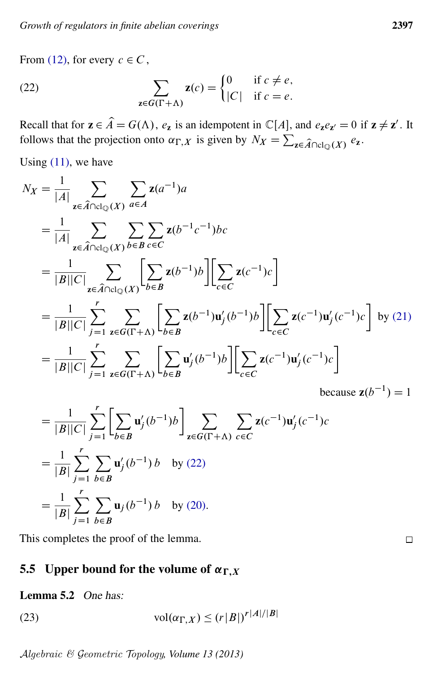<span id="page-14-0"></span>From [\(12\),](#page-8-3) for every  $c \in C$ ,

(22) 
$$
\sum_{\mathbf{z}\in G(\Gamma+\Lambda)}\mathbf{z}(c) = \begin{cases} 0 & \text{if } c\neq e, \\ |C| & \text{if } c=e. \end{cases}
$$

Recall that for  $z \in \hat{A} = G(\Lambda)$ ,  $e_z$  is an idempotent in  $\mathbb{C}[A]$ , and  $e_z e_{z'} = 0$  if  $z \neq z'$ . It follows that the projection onto  $\alpha_{\Gamma,X}$  is given by  $N_X = \sum_{z \in \hat{A} \cap \text{cl}_{\mathbb{Q}}(X)} e_z$ .

Using  $(11)$ , we have

$$
N_X = \frac{1}{|A|} \sum_{\mathbf{z} \in \hat{A} \cap \text{cl}_{\mathbb{Q}}(X)} \sum_{a \in A} \mathbf{z}(a^{-1})a
$$
  
\n
$$
= \frac{1}{|A|} \sum_{\mathbf{z} \in \hat{A} \cap \text{cl}_{\mathbb{Q}}(X)} \sum_{b \in B} \sum_{c \in C} \mathbf{z}(b^{-1}c^{-1})bc
$$
  
\n
$$
= \frac{1}{|B||C|} \sum_{\mathbf{z} \in \hat{A} \cap \text{cl}_{\mathbb{Q}}(X)} \sum_{b \in B} \mathbf{z}(b^{-1})b \left[ \sum_{c \in C} \mathbf{z}(c^{-1})c \right]
$$
  
\n
$$
= \frac{1}{|B||C|} \sum_{j=1}^{r} \sum_{\mathbf{z} \in G(\Gamma+A)} \sum_{b \in B} \mathbf{z}(b^{-1})\mathbf{u}'_j(b^{-1})b \left[ \sum_{c \in C} \mathbf{z}(c^{-1})\mathbf{u}'_j(c^{-1})c \right] \text{ by (21)}
$$
  
\n
$$
= \frac{1}{|B||C|} \sum_{j=1}^{r} \sum_{\mathbf{z} \in G(\Gamma+A)} \sum_{b \in B} \mathbf{u}'_j(b^{-1})b \left[ \sum_{c \in C} \mathbf{z}(c^{-1})\mathbf{u}'_j(c^{-1})c \right]
$$
  
\nbecause  $\mathbf{z}(b^{-1}) = 1$   
\n
$$
= \frac{1}{\sum_{j=1}^{r} \sum_{\mathbf{z} \in G(\Gamma+A)} \sum_{b \in B} \mathbf{u}'_j(b^{-1})b} \sum_{c \in C} \sum_{\mathbf{z}(c^{-1})\mathbf{u}'_j(c^{-1})c} \text{because } \mathbf{z}(b^{-1}) = 1
$$

$$
= \frac{1}{|B||C|} \sum_{j=1}^{r} \left[ \sum_{b \in B} \mathbf{u}'_j(b^{-1})b \right] \sum_{\mathbf{z} \in G(\Gamma + \Lambda)} \sum_{c \in C} \mathbf{z}(c^{-1})\mathbf{u}'_j(c^{-1})c
$$
  

$$
= \frac{1}{|B|} \sum_{j=1}^{r} \sum_{b \in B} \mathbf{u}'_j(b^{-1})b \text{ by (22)}
$$
  

$$
= \frac{1}{|B|} \sum_{j=1}^{r} \sum_{b \in B} \mathbf{u}_j(b^{-1})b \text{ by (20)}.
$$

This completes the proof of the lemma.

# 5.5 Upper bound for the volume of  $\alpha_{\Gamma,X}$

### <span id="page-14-1"></span>Lemma 5.2 One has:

(23) 
$$
\operatorname{vol}(\alpha_{\Gamma,X}) \le (r|B|)^{r|A|/|B|}
$$

Algebraic & Geometric Topology*, Volume 13 (2013)*

 $\Box$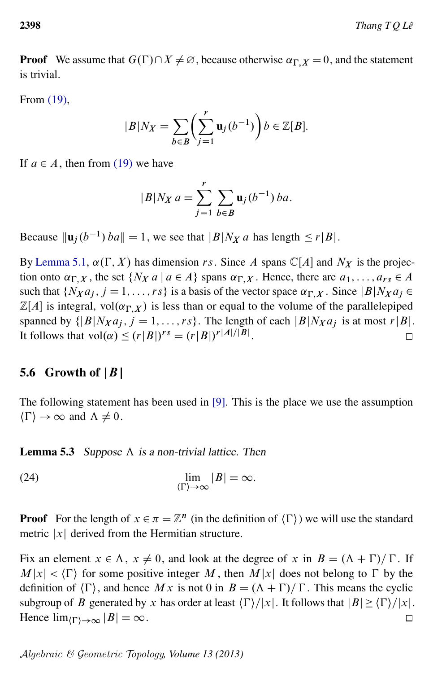**Proof** We assume that  $G(\Gamma) \cap X \neq \emptyset$ , because otherwise  $\alpha_{\Gamma,X} = 0$ , and the statement is trivial.

From [\(19\),](#page-13-3)

$$
|B|N_X = \sum_{b \in B} \left(\sum_{j=1}^r \mathbf{u}_j(b^{-1})\right) b \in \mathbb{Z}[B].
$$

If  $a \in A$ , then from [\(19\)](#page-13-3) we have

$$
|B|N_X a = \sum_{j=1}^r \sum_{b \in B} \mathbf{u}_j(b^{-1}) ba.
$$

Because  $\|\mathbf{u}_j(b^{-1}) ba\| = 1$ , we see that  $|B| N_X a$  has length  $\leq r|B|$ .

By [Lemma 5.1,](#page-13-4)  $\alpha(\Gamma, X)$  has dimension rs. Since A spans C[A] and N<sub>X</sub> is the projection onto  $\alpha_{\Gamma,X}$ , the set  $\{N_X a \mid a \in A\}$  spans  $\alpha_{\Gamma,X}$ . Hence, there are  $a_1, \ldots, a_{rs} \in A$ such that  $\{N_X a_j, j = 1, \ldots, rs\}$  is a basis of the vector space  $\alpha_{\Gamma,X}$ . Since  $|B|N_X a_j \in$  $\mathbb{Z}[A]$  is integral, vol $(\alpha_{\Gamma,X})$  is less than or equal to the volume of the parallelepiped spanned by  $\{ |B| N_X a_i, j = 1, ..., rs \}$ . The length of each  $|B| N_X a_j$  is at most r $|B|$ . It follows that  $\text{vol}(\alpha) \le (r|B|)^{rs} = (r|B|)^{r|A|/|B|}$ .  $\Box$ 

### 5.6 Growth of  $|B|$

The following statement has been used in [\[9\]](#page-20-6). This is the place we use the assumption  $\langle \Gamma \rangle \rightarrow \infty$  and  $\Lambda \neq 0$ .

<span id="page-15-0"></span>**Lemma 5.3** Suppose  $\Lambda$  is a non-trivial lattice. Then

(24) 
$$
\lim_{\langle \Gamma \rangle \to \infty} |B| = \infty.
$$

**Proof** For the length of  $x \in \pi = \mathbb{Z}^n$  (in the definition of  $\langle \Gamma \rangle$ ) we will use the standard metric  $|x|$  derived from the Hermitian structure.

Fix an element  $x \in \Lambda$ ,  $x \neq 0$ , and look at the degree of x in  $B = (\Lambda + \Gamma)/\Gamma$ . If  $M|x| < \langle \Gamma \rangle$  for some positive integer M, then  $M|x|$  does not belong to  $\Gamma$  by the definition of  $\langle \Gamma \rangle$ , and hence M x is not 0 in  $B = (\Lambda + \Gamma)/\Gamma$ . This means the cyclic subgroup of B generated by x has order at least  $\langle \Gamma \rangle / |x|$ . It follows that  $|B| \ge \langle \Gamma \rangle / |x|$ . Hence  $\lim_{(\Gamma) \to \infty} |B| = \infty$ .  $\Box$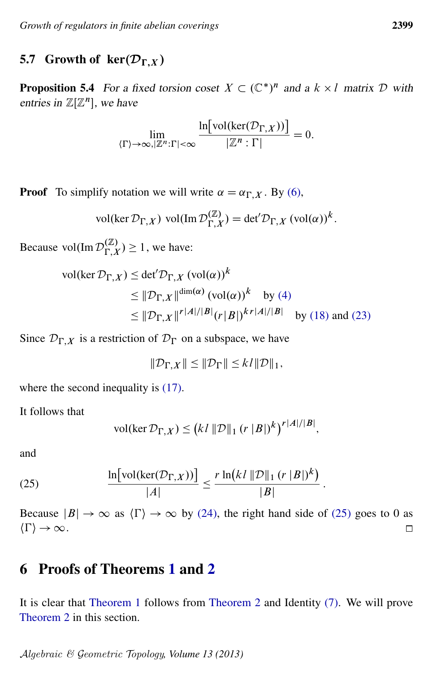# 5.7 Growth of  $\ker(\mathcal{D}_{\Gamma,X})$

<span id="page-16-1"></span>**Proposition 5.4** For a fixed torsion coset  $X \subset (\mathbb{C}^*)^n$  and a  $k \times l$  matrix D with entries in  $\mathbb{Z}[\mathbb{Z}^n]$ , we have

$$
\lim_{\langle \Gamma \rangle \to \infty, |\mathbb{Z}^n : \Gamma | < \infty} \frac{\ln[\text{vol}(\text{ker}(\mathcal{D}_{\Gamma,X}))]}{|\mathbb{Z}^n : \Gamma|} = 0.
$$

**Proof** To simplify notation we will write  $\alpha = \alpha_{\Gamma,X}$ . By [\(6\),](#page-5-1)

$$
\text{vol}(\ker \mathcal{D}_{\Gamma,X}) \text{ vol}(\text{Im } \mathcal{D}_{\Gamma,X}^{(\mathbb{Z})}) = \det' \mathcal{D}_{\Gamma,X} (\text{vol}(\alpha))^k.
$$

Because vol $(\text{Im } \mathcal{D}_{\Gamma}^{(\mathbb{Z})})$  $\binom{(\mathbb{Z})}{\Gamma, X} \geq 1$ , we have:

$$
\text{vol}(\ker \mathcal{D}_{\Gamma,X}) \le \det' \mathcal{D}_{\Gamma,X} \left( \text{vol}(\alpha) \right)^k
$$
  
\n
$$
\le ||\mathcal{D}_{\Gamma,X}||^{\dim(\alpha)} \left( \text{vol}(\alpha) \right)^k \quad \text{by (4)}
$$
  
\n
$$
\le ||\mathcal{D}_{\Gamma,X}||^r |A|/|B| \left( r |B| \right)^{kr |A|/|B|} \quad \text{by (18) and (23)}
$$

Since  $\mathcal{D}_{\Gamma,X}$  is a restriction of  $\mathcal{D}_{\Gamma}$  on a subspace, we have

$$
\|\mathcal{D}_{\Gamma,X}\| \le \|\mathcal{D}_{\Gamma}\| \le k l \|\mathcal{D}\|_1,
$$

where the second inequality is  $(17)$ .

It follows that

$$
\text{vol}(\ker \mathcal{D}_{\Gamma,X}) \leq (k l \, \|\mathcal{D}\|_1 \, (r \, |B|)^k)^{r |A|/|B|},
$$

<span id="page-16-2"></span>and

(25) 
$$
\frac{\ln[\text{vol}(\ker(\mathcal{D}_{\Gamma,X}))]}{|A|} \leq \frac{r \ln(kl \, ||\mathcal{D}||_1 \, (r \, |B|)^k)}{|B|}
$$

Because  $|B| \to \infty$  as  $\langle \Gamma \rangle \to \infty$  by [\(24\),](#page-15-0) the right hand side of [\(25\)](#page-16-2) goes to 0 as  $\langle \Gamma \rangle \rightarrow \infty$ .  $\Box$ 

:

# <span id="page-16-0"></span>6 Proofs of Theorems [1](#page-2-0) and [2](#page-3-0)

It is clear that [Theorem 1](#page-2-0) follows from [Theorem 2](#page-3-0) and Identity [\(7\).](#page-7-4) We will prove [Theorem 2](#page-3-0) in this section.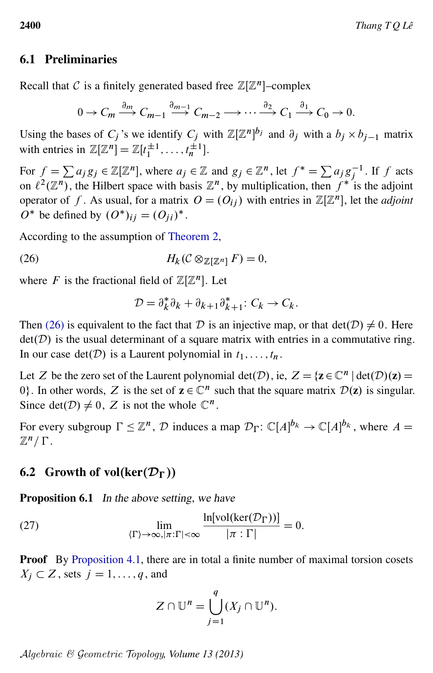### 6.1 Preliminaries

Recall that C is a finitely generated based free  $\mathbb{Z}[\mathbb{Z}^n]$ -complex

$$
0 \to C_m \xrightarrow{\partial_m} C_{m-1} \xrightarrow{\partial_{m-1}} C_{m-2} \longrightarrow \cdots \xrightarrow{\partial_2} C_1 \xrightarrow{\partial_1} C_0 \to 0.
$$

Using the bases of  $C_j$ 's we identify  $C_j$  with  $\mathbb{Z}[\mathbb{Z}^n]^{b_j}$  and  $\partial_j$  with a  $b_j \times b_{j-1}$  matrix with entries in  $\mathbb{Z}[\mathbb{Z}^n] = \mathbb{Z}[t_1^{\pm 1}, \dots, t_n^{\pm 1}].$ 

For  $f = \sum a_j g_j \in \mathbb{Z}[\mathbb{Z}^n]$ , where  $a_j \in \mathbb{Z}$  and  $g_j \in \mathbb{Z}^n$ , let  $f^* = \sum a_j g_j^{-1}$ . If f acts on  $\ell^2(\mathbb{Z}^n)$ , the Hilbert space with basis  $\mathbb{Z}^n$ , by multiplication, then  $f^*$  is the adjoint operator of f. As usual, for a matrix  $O = (O_{ij})$  with entries in  $\mathbb{Z}[\mathbb{Z}^n]$ , let the *adjoint*  $\overline{O^*}$  be defined by  $(O^*)_{ij} = (O_{ji})^*$ .

According to the assumption of [Theorem 2,](#page-3-0)

(26) 
$$
H_k(\mathcal{C}\otimes_{\mathbb{Z}[\mathbb{Z}^n]}F)=0,
$$

where F is the fractional field of  $\mathbb{Z}[\mathbb{Z}^n]$ . Let

<span id="page-17-0"></span>
$$
\mathcal{D} = \partial_k^* \partial_k + \partial_{k+1} \partial_{k+1}^* \colon C_k \to C_k.
$$

Then [\(26\)](#page-17-0) is equivalent to the fact that D is an injective map, or that  $det(D) \neq 0$ . Here  $det(D)$  is the usual determinant of a square matrix with entries in a commutative ring. In our case  $det(D)$  is a Laurent polynomial in  $t_1, \ldots, t_n$ .

Let Z be the zero set of the Laurent polynomial  $det(D)$ , ie,  $Z = {z \in \mathbb{C}^n | det(D)(z) =}$ 0. In other words, Z is the set of  $z \in \mathbb{C}^n$  such that the square matrix  $\mathcal{D}(z)$  is singular. Since det $(D) \neq 0$ , Z is not the whole  $\mathbb{C}^n$ .

For every subgroup  $\Gamma \leq \mathbb{Z}^n$ ,  $\mathcal{D}$  induces a map  $\mathcal{D}_{\Gamma}$ :  $\mathbb{C}[A]^{b_k} \to \mathbb{C}[A]^{b_k}$ , where  $A =$  $\mathbb{Z}^n/\Gamma$ .

#### 6.2 Growth of vol(ker $(\mathcal{D}_{\Gamma})$ )

<span id="page-17-2"></span>Proposition 6.1 In the above setting, we have

(27) 
$$
\lim_{\langle \Gamma \rangle \to \infty, |\pi : \Gamma| < \infty} \frac{\ln[\text{vol}(\text{ker}(\mathcal{D}_{\Gamma}))]}{|\pi : \Gamma|} = 0.
$$

Proof By [Proposition 4.1,](#page-10-1) there are in total a finite number of maximal torsion cosets  $X_j \subset Z$ , sets  $j = 1, \ldots, q$ , and

<span id="page-17-1"></span>
$$
Z \cap \mathbb{U}^n = \bigcup_{j=1}^q (X_j \cap \mathbb{U}^n).
$$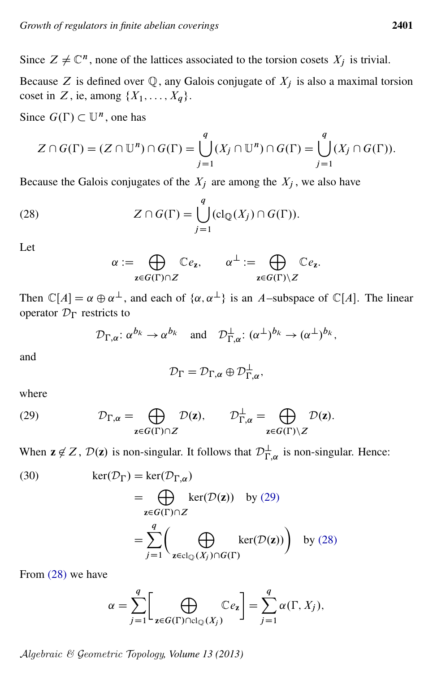Since  $Z \neq \mathbb{C}^n$ , none of the lattices associated to the torsion cosets  $X_j$  is trivial.

Because Z is defined over  $\mathbb Q$ , any Galois conjugate of  $X_i$  is also a maximal torsion coset in Z, ie, among  $\{X_1, \ldots, X_q\}$ .

Since  $G(\Gamma) \subset \mathbb{U}^n$ , one has

$$
Z \cap G(\Gamma) = (Z \cap \mathbb{U}^n) \cap G(\Gamma) = \bigcup_{j=1}^q (X_j \cap \mathbb{U}^n) \cap G(\Gamma) = \bigcup_{j=1}^q (X_j \cap G(\Gamma)).
$$

Because the Galois conjugates of the  $X_i$  are among the  $X_i$ , we also have

(28) 
$$
Z \cap G(\Gamma) = \bigcup_{j=1}^{q} (cl_{\mathbb{Q}}(X_{j}) \cap G(\Gamma)).
$$

Let

<span id="page-18-1"></span>
$$
\alpha := \bigoplus_{z \in G(\Gamma) \cap Z} \mathbb{C}e_z, \qquad \alpha^{\perp} := \bigoplus_{z \in G(\Gamma) \setminus Z} \mathbb{C}e_z.
$$

Then  $\mathbb{C}[A] = \alpha \oplus \alpha^{\perp}$ , and each of  $\{\alpha, \alpha^{\perp}\}\$ is an A-subspace of  $\mathbb{C}[A]$ . The linear operator  $\mathcal{D}_{\Gamma}$  restricts to

$$
\mathcal{D}_{\Gamma,\alpha}: \alpha^{b_k} \to \alpha^{b_k}
$$
 and  $\mathcal{D}_{\Gamma,\alpha}^{\perp}: (\alpha^{\perp})^{b_k} \to (\alpha^{\perp})^{b_k}$ ,

and

<span id="page-18-2"></span>
$$
\mathcal{D}_{\Gamma}=\mathcal{D}_{\Gamma,\alpha}\oplus \mathcal{D}_{\Gamma,\alpha}^{\perp},
$$

<span id="page-18-0"></span>where

(29) 
$$
\mathcal{D}_{\Gamma,\alpha} = \bigoplus_{\mathbf{z} \in G(\Gamma) \cap Z} \mathcal{D}(\mathbf{z}), \qquad \mathcal{D}_{\Gamma,\alpha}^{\perp} = \bigoplus_{\mathbf{z} \in G(\Gamma) \setminus Z} \mathcal{D}(\mathbf{z}).
$$

When  $z \notin Z$ ,  $\mathcal{D}(z)$  is non-singular. It follows that  $\mathcal{D}_{\Gamma,\alpha}^{\perp}$  is non-singular. Hence:

(30) 
$$
\ker(\mathcal{D}_{\Gamma}) = \ker(\mathcal{D}_{\Gamma,\alpha})
$$

$$
= \bigoplus_{\mathbf{z} \in G(\Gamma) \cap Z} \ker(\mathcal{D}(\mathbf{z})) \text{ by (29)}
$$

$$
= \sum_{j=1}^{q} \left( \bigoplus_{\mathbf{z} \in cl_{\mathbb{Q}}(X_j) \cap G(\Gamma)} \ker(\mathcal{D}(\mathbf{z})) \right) \text{ by (28)}
$$

From [\(28\)](#page-18-1) we have

$$
\alpha = \sum_{j=1}^q \left[ \bigoplus_{\mathbf{z} \in G(\Gamma) \cap \text{cl}_{\mathbb{Q}}(X_j)} \mathbb{C}e_{\mathbf{z}} \right] = \sum_{j=1}^q \alpha(\Gamma, X_j),
$$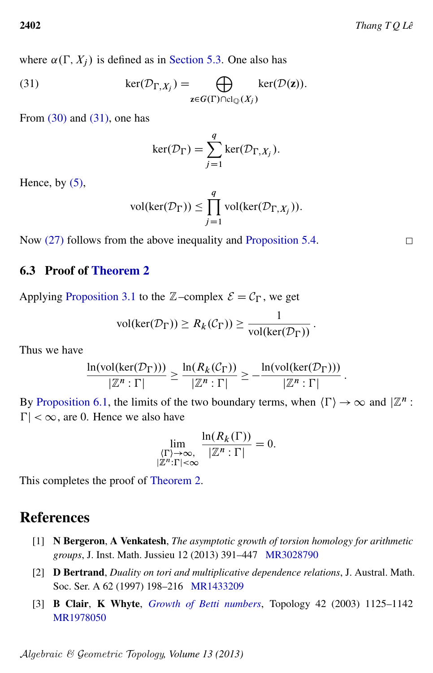where  $\alpha(\Gamma, X_i)$  is defined as in [Section 5.3.](#page-12-1) One also has

(31) 
$$
\ker(\mathcal{D}_{\Gamma,X_j}) = \bigoplus_{\mathbf{z} \in G(\Gamma) \cap \text{cl}_{\mathbb{Q}}(X_j)} \text{ker}(\mathcal{D}(\mathbf{z})).
$$

From  $(30)$  and  $(31)$ , one has

<span id="page-19-3"></span>
$$
\ker(\mathcal{D}_{\Gamma}) = \sum_{j=1}^{q} \ker(\mathcal{D}_{\Gamma,X_j}).
$$

Hence, by  $(5)$ ,

$$
\text{vol}(\text{ker}(\mathcal{D}_{\Gamma})) \le \prod_{j=1}^{q} \text{vol}(\text{ker}(\mathcal{D}_{\Gamma,X_j})).
$$

Now [\(27\)](#page-17-1) follows from the above inequality and [Proposition 5.4.](#page-16-1)

#### 6.3 Proof of [Theorem 2](#page-3-0)

Applying [Proposition 3.1](#page-7-1) to the  $\mathbb{Z}$ –complex  $\mathcal{E} = \mathcal{C}_{\Gamma}$ , we get

$$
vol(\ker(\mathcal{D}_{\Gamma})) \geq R_k(\mathcal{C}_{\Gamma})) \geq \frac{1}{\text{vol}(\ker(\mathcal{D}_{\Gamma}))}.
$$

Thus we have

$$
\frac{\ln(\text{vol}(\text{ker}(\mathcal{D}_{\Gamma})))}{|\mathbb{Z}^n:\Gamma|} \geq \frac{\ln(R_k(\mathcal{C}_{\Gamma}))}{|\mathbb{Z}^n:\Gamma|} \geq -\frac{\ln(\text{vol}(\text{ker}(\mathcal{D}_{\Gamma})))}{|\mathbb{Z}^n:\Gamma|}.
$$

By [Proposition 6.1,](#page-17-2) the limits of the two boundary terms, when  $\langle \Gamma \rangle \to \infty$  and  $\mathbb{Z}^n$ :  $|\Gamma| < \infty$ , are 0. Hence we also have

$$
\lim_{\substack{\langle \Gamma \rangle \to \infty, \\ |\mathbb{Z}^n : \Gamma| < \infty}} \frac{\ln(R_k(\Gamma))}{|\mathbb{Z}^n : \Gamma|} = 0.
$$

This completes the proof of [Theorem 2.](#page-3-0)

# References

- <span id="page-19-0"></span>[1] N Bergeron, A Venkatesh, *The asymptotic growth of torsion homology for arithmetic groups*, J. Inst. Math. Jussieu 12 (2013) 391–447 [MR3028790](http://www.ams.org/mathscinet-getitem?mr=3028790)
- <span id="page-19-1"></span>[2] D Bertrand, *Duality on tori and multiplicative dependence relations*, J. Austral. Math. Soc. Ser. A 62 (1997) 198–216 [MR1433209](http://www.ams.org/mathscinet-getitem?mr=1433209)
- <span id="page-19-2"></span>[3] B Clair, K Whyte, *[Growth of Betti numbers](http://dx.doi.org/10.1016/S0040-9383(02)00046-0)*, Topology 42 (2003) 1125–1142 [MR1978050](http://www.ams.org/mathscinet-getitem?mr=1978050)

Algebraic & Geometric Topology*, Volume 13 (2013)*

 $\Box$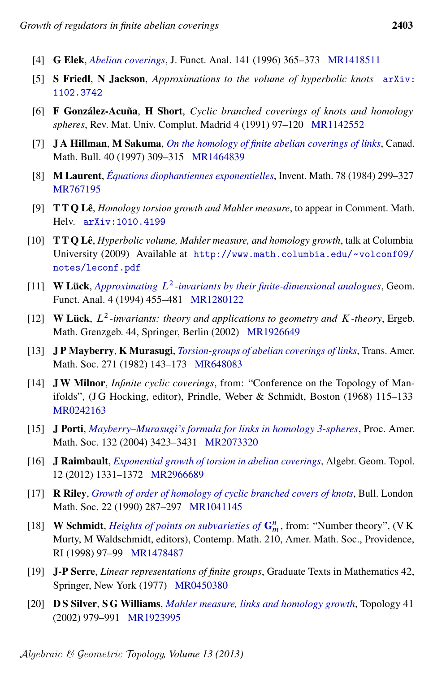- <span id="page-20-1"></span>[4] G Elek, *[Abelian coverings](http://dx.doi.org/10.1006/jfan.1996.0133)*, J. Funct. Anal. 141 (1996) 365–373 [MR1418511](http://www.ams.org/mathscinet-getitem?mr=1418511)
- <span id="page-20-7"></span>[5] S Friedl, N Jackson, *Approximations to the volume of hyperbolic knots* [arXiv:](http://arxiv.org/abs/1102.3742) [1102.3742](http://arxiv.org/abs/1102.3742)
- <span id="page-20-2"></span>[6] F González-Acuña, H Short, *Cyclic branched coverings of knots and homology spheres*, Rev. Mat. Univ. Complut. Madrid 4 (1991) 97–120 [MR1142552](http://www.ams.org/mathscinet-getitem?mr=1142552)
- <span id="page-20-9"></span>[7] J A Hillman, M Sakuma, *[On the homology of finite abelian coverings of links](http://dx.doi.org/10.4153/CMB-1997-037-9)*, Canad. Math. Bull. 40 (1997) 309–315 [MR1464839](http://www.ams.org/mathscinet-getitem?mr=1464839)
- <span id="page-20-16"></span>[8] M Laurent, *[Équations diophantiennes exponentielles](http://dx.doi.org/10.1007/BF01388597)*, Invent. Math. 78 (1984) 299–327 [MR767195](http://www.ams.org/mathscinet-getitem?mr=767195)
- <span id="page-20-6"></span>[9] T T Q Lê, *Homology torsion growth and Mahler measure*, to appear in Comment. Math. Helv. [arXiv:1010.4199](http://arxiv.org/abs/1010.4199)
- <span id="page-20-5"></span>[10] T T Q Lê, *Hyperbolic volume, Mahler measure, and homology growth*, talk at Columbia University (2009) Available at [http://www.math.columbia.edu/](http://www.math.columbia.edu/~volconf09/notes/leconf.pdf)~volconf09/ [notes/leconf.pdf](http://www.math.columbia.edu/~volconf09/notes/leconf.pdf)
- <span id="page-20-4"></span>[11] **W Lück**, *Approximating*  $L^2$ [-invariants by their finite-dimensional analogues](http://dx.doi.org/10.1007/BF01896404), Geom. Funct. Anal. 4 (1994) 455–481 [MR1280122](http://www.ams.org/mathscinet-getitem?mr=1280122)
- <span id="page-20-0"></span>[12] **W Lück**,  $L^2$ -invariants: theory and applications to geometry and K-theory, Ergeb. Math. Grenzgeb. 44, Springer, Berlin (2002) [MR1926649](http://www.ams.org/mathscinet-getitem?mr=1926649)
- <span id="page-20-10"></span>[13] J P Mayberry, K Murasugi, *[Torsion-groups of abelian coverings of links](http://dx.doi.org/10.2307/1998756)*, Trans. Amer. Math. Soc. 271 (1982) 143–173 [MR648083](http://www.ams.org/mathscinet-getitem?mr=648083)
- <span id="page-20-13"></span>[14] J W Milnor, *Infinite cyclic coverings*, from: "Conference on the Topology of Manifolds", (J G Hocking, editor), Prindle, Weber & Schmidt, Boston (1968)  $115-133$ [MR0242163](http://www.ams.org/mathscinet-getitem?mr=0242163)
- <span id="page-20-11"></span>[15] J Porti, *[Mayberry–Murasugi's formula for links in homology 3-spheres](http://dx.doi.org/10.1090/S0002-9939-04-07458-1)*, Proc. Amer. Math. Soc. 132 (2004) 3423–3431 [MR2073320](http://www.ams.org/mathscinet-getitem?mr=2073320)
- <span id="page-20-12"></span>[16] J Raimbault, *[Exponential growth of torsion in abelian coverings](http://dx.doi.org/10.2140/agt.2012.12.1331)*, Algebr. Geom. Topol. 12 (2012) 1331–1372 [MR2966689](http://www.ams.org/mathscinet-getitem?mr=2966689)
- <span id="page-20-3"></span>[17] R Riley, *[Growth of order of homology of cyclic branched covers of knots](http://dx.doi.org/10.1112/blms/22.3.287)*, Bull. London Math. Soc. 22 (1990) 287–297 [MR1041145](http://www.ams.org/mathscinet-getitem?mr=1041145)
- <span id="page-20-15"></span>[18] **W Schmidt**, *[Heights of points on subvarieties of](http://dx.doi.org/10.1090/conm/210/02786)*  $\mathbf{G}_m^n$ , from: "Number theory", (VK) Murty, M Waldschmidt, editors), Contemp. Math. 210, Amer. Math. Soc., Providence, RI (1998) 97–99 [MR1478487](http://www.ams.org/mathscinet-getitem?mr=1478487)
- <span id="page-20-14"></span>[19] J-P Serre, *Linear representations of finite groups*, Graduate Texts in Mathematics 42, Springer, New York (1977) [MR0450380](http://www.ams.org/mathscinet-getitem?mr=0450380)
- <span id="page-20-8"></span>[20] D S Silver, S G Williams, *[Mahler measure, links and homology growth](http://dx.doi.org/10.1016/S0040-9383(01)00014-3)*, Topology 41 (2002) 979–991 [MR1923995](http://www.ams.org/mathscinet-getitem?mr=1923995)